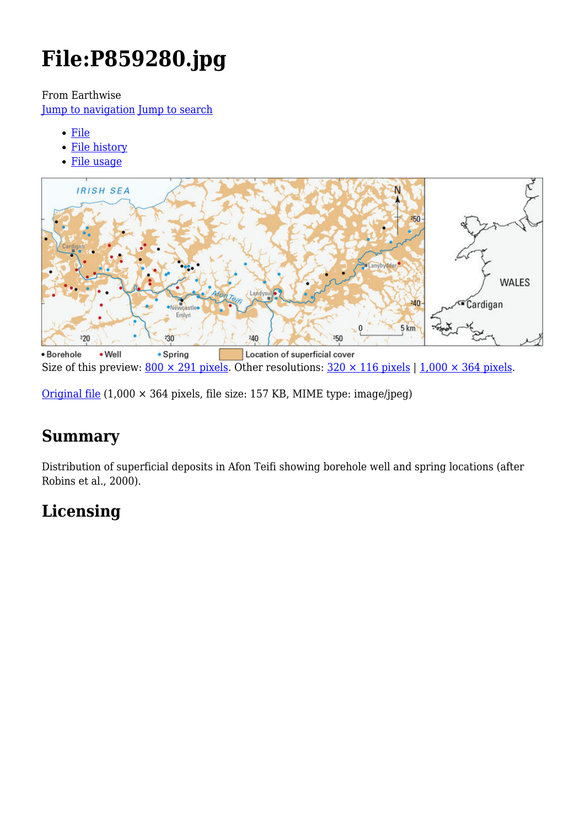# **File:P859280.jpg**

From Earthwise

[Jump to navigation](#page--1-0) [Jump to search](#page--1-0)

- [File](#page--1-0)
- [File history](#page--1-0)
- [File usage](#page--1-0)



Size of this preview:  $800 \times 291$  pixels. Other resolutions:  $320 \times 116$  pixels | 1,000  $\times$  364 pixels.

[Original file](http://earthwise.bgs.ac.uk/images/8/8e/P859280.jpg)  $(1,000 \times 364$  pixels, file size: 157 KB, MIME type: image/jpeg)

# **Summary**

Distribution of superficial deposits in Afon Teifi showing borehole well and spring locations (after Robins et al., 2000).

# **Licensing**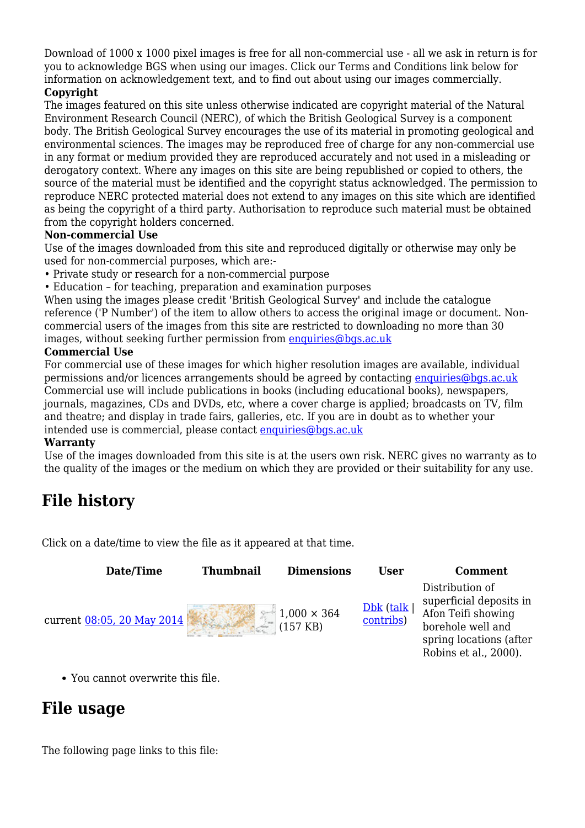Download of 1000 x 1000 pixel images is free for all non-commercial use - all we ask in return is for you to acknowledge BGS when using our images. Click our Terms and Conditions link below for information on acknowledgement text, and to find out about using our images commercially.

#### **Copyright**

The images featured on this site unless otherwise indicated are copyright material of the Natural Environment Research Council (NERC), of which the British Geological Survey is a component body. The British Geological Survey encourages the use of its material in promoting geological and environmental sciences. The images may be reproduced free of charge for any non-commercial use in any format or medium provided they are reproduced accurately and not used in a misleading or derogatory context. Where any images on this site are being republished or copied to others, the source of the material must be identified and the copyright status acknowledged. The permission to reproduce NERC protected material does not extend to any images on this site which are identified as being the copyright of a third party. Authorisation to reproduce such material must be obtained from the copyright holders concerned.

#### **Non-commercial Use**

Use of the images downloaded from this site and reproduced digitally or otherwise may only be used for non-commercial purposes, which are:-

- Private study or research for a non-commercial purpose
- Education for teaching, preparation and examination purposes

When using the images please credit 'British Geological Survey' and include the catalogue reference ('P Number') of the item to allow others to access the original image or document. Noncommercial users of the images from this site are restricted to downloading no more than 30 images, without seeking further permission from [enquiries@bgs.ac.uk](mailto:enquiries@bgs.ac.uk)

#### **Commercial Use**

For commercial use of these images for which higher resolution images are available, individual permissions and/or licences arrangements should be agreed by contacting [enquiries@bgs.ac.uk](mailto:enquiries@bgs.ac.uk) Commercial use will include publications in books (including educational books), newspapers, journals, magazines, CDs and DVDs, etc, where a cover charge is applied; broadcasts on TV, film and theatre; and display in trade fairs, galleries, etc. If you are in doubt as to whether your intended use is commercial, please contact [enquiries@bgs.ac.uk](mailto:enquiries@bgs.ac.uk)

#### **Warranty**

Use of the images downloaded from this site is at the users own risk. NERC gives no warranty as to the quality of the images or the medium on which they are provided or their suitability for any use.

# **File history**

Click on a date/time to view the file as it appeared at that time.

| Date/Time                  | <b>Thumbnail</b> | <b>Dimensions</b>                        | User                       | <b>Comment</b>                                                                                                                            |
|----------------------------|------------------|------------------------------------------|----------------------------|-------------------------------------------------------------------------------------------------------------------------------------------|
| current 08:05, 20 May 2014 |                  | $1,000 \times 364$<br>$(157 \text{ KB})$ | $Dbk$ (talk  <br>contribs) | Distribution of<br>superficial deposits in<br>Afon Teifi showing<br>borehole well and<br>spring locations (after<br>Robins et al., 2000). |

You cannot overwrite this file.

# **File usage**

The following page links to this file: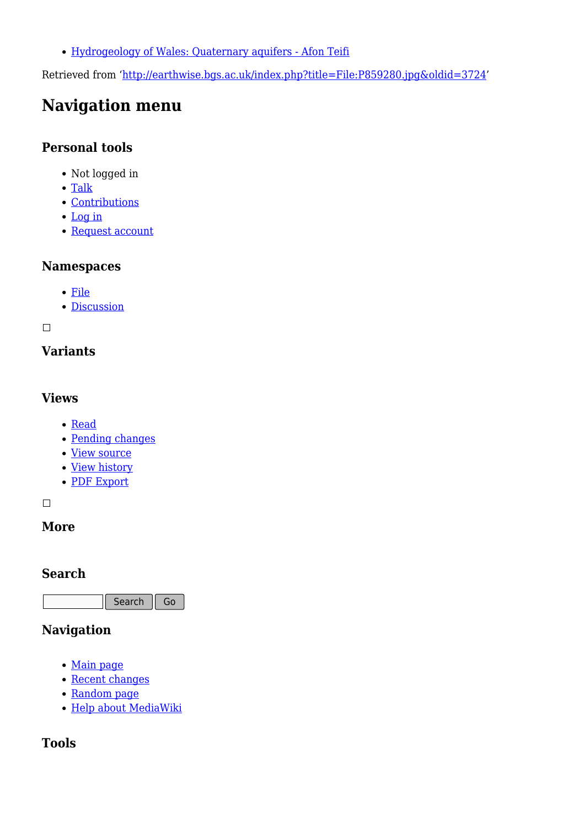[Hydrogeology of Wales: Quaternary aquifers - Afon Teifi](http://earthwise.bgs.ac.uk/index.php/Hydrogeology_of_Wales:_Quaternary_aquifers_-_Afon_Teifi)

Retrieved from ['http://earthwise.bgs.ac.uk/index.php?title=File:P859280.jpg&oldid=3724](http://earthwise.bgs.ac.uk/index.php?title=File:P859280.jpg&oldid=3724)'

# **Navigation menu**

### **Personal tools**

- Not logged in
- [Talk](http://earthwise.bgs.ac.uk/index.php/Special:MyTalk)
- [Contributions](http://earthwise.bgs.ac.uk/index.php/Special:MyContributions)
- [Log in](http://earthwise.bgs.ac.uk/index.php?title=Special:UserLogin&returnto=File%3AP859280.jpg&returntoquery=action%3Dmpdf)
- [Request account](http://earthwise.bgs.ac.uk/index.php/Special:RequestAccount)

### **Namespaces**

- [File](http://earthwise.bgs.ac.uk/index.php/File:P859280.jpg)
- [Discussion](http://earthwise.bgs.ac.uk/index.php?title=File_talk:P859280.jpg&action=edit&redlink=1)

 $\Box$ 

### **Variants**

### **Views**

- [Read](http://earthwise.bgs.ac.uk/index.php?title=File:P859280.jpg&stable=1)
- [Pending changes](http://earthwise.bgs.ac.uk/index.php?title=File:P859280.jpg&stable=0&redirect=no)
- [View source](http://earthwise.bgs.ac.uk/index.php?title=File:P859280.jpg&action=edit)
- [View history](http://earthwise.bgs.ac.uk/index.php?title=File:P859280.jpg&action=history)
- [PDF Export](http://earthwise.bgs.ac.uk/index.php?title=File:P859280.jpg&action=mpdf)

 $\Box$ 

### **More**

### **Search**

Search Go

### **Navigation**

- [Main page](http://earthwise.bgs.ac.uk/index.php/Main_Page)
- [Recent changes](http://earthwise.bgs.ac.uk/index.php/Special:RecentChanges)
- [Random page](http://earthwise.bgs.ac.uk/index.php/Special:Random)
- [Help about MediaWiki](https://www.mediawiki.org/wiki/Special:MyLanguage/Help:Contents)

## **Tools**